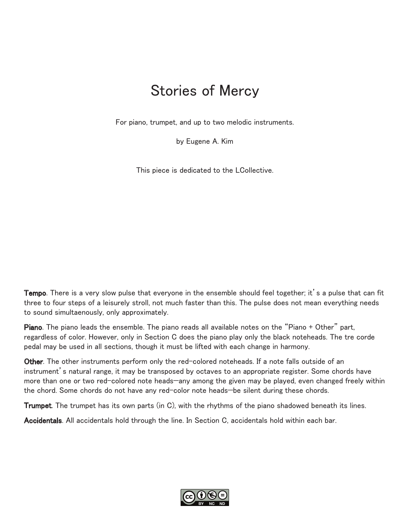## Stories of Mercy

For piano, trumpet, and up to two melodic instruments.

by Eugene A. Kim

This piece is dedicated to the LCollective.

Tempo. There is a very slow pulse that everyone in the ensemble should feel together; it's a pulse that can fit three to four steps of a leisurely stroll, not much faster than this. The pulse does not mean everything needs to sound simultaenously, only approximately.

Piano. The piano leads the ensemble. The piano reads all available notes on the "Piano + Other" part, regardless of color. However, only in Section C does the piano play only the black noteheads. The tre corde pedal may be used in all sections, though it must be lifted with each change in harmony.

Other. The other instruments perform only the red-colored noteheads. If a note falls outside of an instrument's natural range, it may be transposed by octaves to an appropriate register. Some chords have more than one or two red-colored note heads—any among the given may be played, even changed freely within the chord. Some chords do not have any red-color note heads—be silent during these chords.

**Trumpet.** The trumpet has its own parts (in C), with the rhythms of the piano shadowed beneath its lines.

Accidentals. All accidentals hold through the line. In Section C, accidentals hold within each bar.

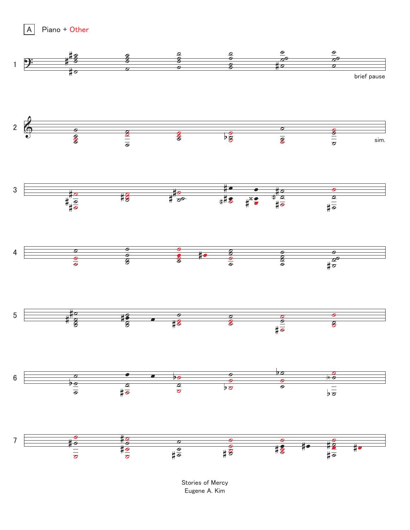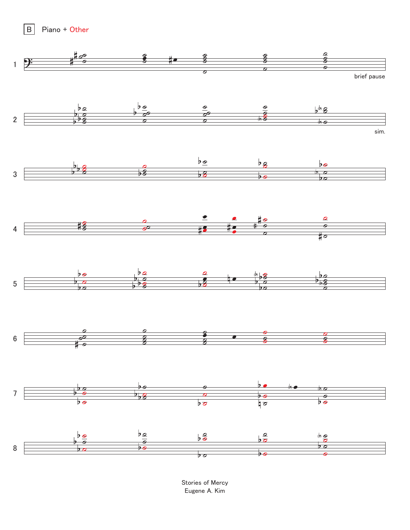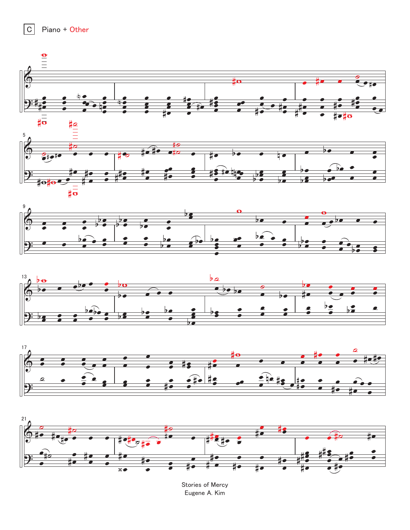











Stories of Mercy Eugene A. Kim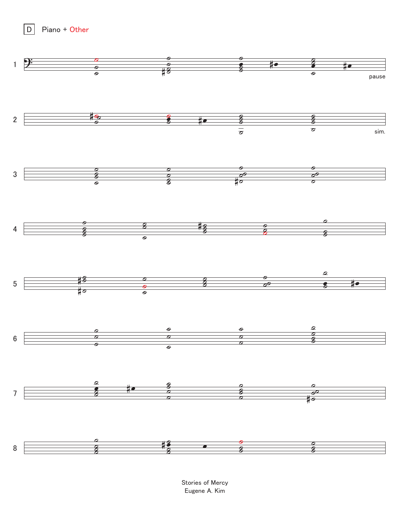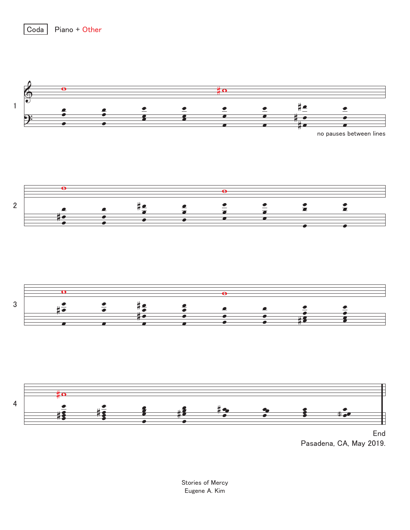

Coda

Piano + Other

Pasadena, CA, May 2019.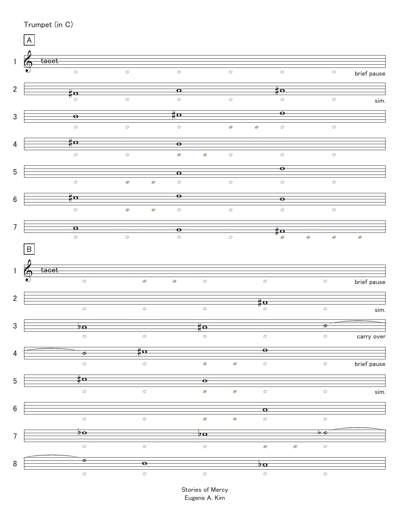|                  | Trumpet (in C)            |                                   |                          |                                          |                          |                          |                                           |                                            |             |
|------------------|---------------------------|-----------------------------------|--------------------------|------------------------------------------|--------------------------|--------------------------|-------------------------------------------|--------------------------------------------|-------------|
|                  | $\boldsymbol{\mathsf{A}}$ |                                   |                          |                                          |                          |                          |                                           |                                            |             |
|                  |                           |                                   |                          |                                          |                          |                          |                                           |                                            |             |
| $\mathbf{1}$     | 6<br>tacet                |                                   |                          |                                          |                          |                          |                                           |                                            |             |
|                  |                           | $\mathcal{O}$                     | $\circ$                  | $\cal O$                                 |                          | $\mathcal{O}$            | $\mathcal{O}$                             | $\circ$                                    | brief pause |
| $\overline{2}$   |                           |                                   |                          | $\Omega$                                 |                          |                          | $\frac{\text{H}}{\text{H}}$               |                                            |             |
|                  |                           | $\sharp$ o<br>$\mathcal{O}$       | $\circ$                  | $\circ$                                  |                          | $\circ$                  | $\mathcal{O}$                             | $\circ$                                    | sim.        |
|                  |                           |                                   |                          | $\sharp$ o                               |                          |                          | $\overline{\bullet}$                      |                                            |             |
| $\sqrt{3}$       |                           | $\overline{\bullet}$              |                          |                                          |                          |                          |                                           |                                            |             |
|                  |                           | $\mathcal O$                      | $\mathcal O$             | $\circ$                                  |                          | $\overline{\mathcal{O}}$ | $\overline{\mathcal{C}}$<br>$\mathcal{O}$ | $\circ$                                    |             |
| $\overline{4}$   |                           | $\sharp$ o                        |                          | $\overline{\bullet}$                     |                          |                          |                                           |                                            |             |
|                  |                           | $\mathcal{O}$                     | $\cal O$                 | $\bigcirc$                               | $\bullet$                | $\mathcal O$             | $\mathcal{O}$                             | $\cal O$                                   |             |
|                  |                           |                                   |                          |                                          |                          |                          | $\overline{\bullet}$                      |                                            |             |
| $\sqrt{5}$       |                           |                                   |                          | $\overline{\mathbf{o}}$                  |                          |                          |                                           |                                            |             |
|                  |                           | $\mathcal{O}$                     | $\overline{\mathcal{C}}$ | $\overline{\mathcal{C}}$<br>$\cal O$     |                          | $\circ$                  | $\circ$                                   | $\mathcal{O}$                              |             |
| $\boldsymbol{6}$ |                           | $\frac{\text{p}}{\text{p}}$       |                          | $\overline{\mathbf{e}}$                  |                          |                          | $\overline{\bullet}$                      |                                            |             |
|                  |                           | $\mathcal{O}$                     | $\overline{\mathcal{C}}$ | $\overline{\mathcal{O}}$<br>$\mathcal O$ |                          | $\mathcal{O}$            | $\mathcal{O}$                             | $\mathcal{O}$                              |             |
| $\overline{7}$   |                           | $\Omega$                          |                          |                                          |                          |                          |                                           |                                            |             |
|                  |                           | $\mathcal{O}$                     | $\overline{\mathcal{O}}$ | $\overline{\bullet}$<br>$\mathcal{O}$    |                          | $\overline{\mathcal{O}}$ | $\sharp$ o<br>$\overline{\mathcal{O}}$    | $\overline{O}$<br>$\overline{\phantom{0}}$ | $\bullet$   |
|                  | $\, {\bf B}$              |                                   |                          |                                          |                          |                          |                                           |                                            |             |
|                  |                           |                                   |                          |                                          |                          |                          |                                           |                                            |             |
| $\mathbf{1}$     | 6<br>tacet                |                                   |                          |                                          |                          |                          |                                           |                                            |             |
|                  | $\bullet$ )               | $\circ$                           | $\overline{\mathcal{L}}$ | $\overline{\mathcal{C}}$                 | $\circ$                  |                          | $\mathcal{O}$                             | $\circ$                                    | brief pause |
|                  |                           |                                   |                          |                                          |                          |                          |                                           |                                            |             |
| $\overline{2}$   |                           | $\circ$                           | $\circ$                  |                                          | $\circ$                  |                          | $\frac{1}{4}$ o<br>$\mathcal{O}$          | $\circ$                                    |             |
|                  |                           |                                   |                          |                                          |                          |                          |                                           |                                            | sim.        |
| $\mathbf{3}$     |                           | $\overline{p}$                    |                          |                                          | $\sharp$ o               |                          |                                           | $\bullet$                                  |             |
|                  |                           | $\circ$                           | $\mathcal{O}$            |                                          | $\circ$                  |                          | $\mathcal{O}$                             | $\mathcal{O}$                              | carry over  |
| 4                |                           | $\overline{\bullet}$              | $\sharp$ o               |                                          |                          |                          | $\overline{\bullet}$                      |                                            |             |
|                  |                           | $\bullet$                         | $\mathcal{O}$            |                                          | $\overline{\mathcal{O}}$ | $\overline{\mathcal{C}}$ | $\mathcal{O}$                             | $\mathcal{O}$                              | brief pause |
|                  |                           |                                   |                          |                                          |                          |                          |                                           |                                            |             |
| $5\,$            |                           | #o                                |                          |                                          | $\overline{\bullet}$     |                          |                                           |                                            |             |
|                  |                           | $\circ$                           | $\circ$                  |                                          | $\overline{\mathbb{C}}$  | $\bigcirc$               | $\mathcal O$                              | $\circ$                                    | sim.        |
| $\boldsymbol{6}$ |                           |                                   |                          |                                          |                          |                          | $\overline{\mathbf{o}}$                   |                                            |             |
|                  |                           | $\mathcal{O}$                     | $\circ$                  |                                          | $\overline{\mathcal{C}}$ | $\overline{\mathcal{L}}$ | $\cal O$                                  | $\cal O$                                   |             |
|                  |                           | $\overline{\mathbf{p}\mathbf{o}}$ |                          |                                          | $b$ o                    |                          |                                           | $\overline{\bullet}$                       |             |
| $\overline{7}$   |                           | $\circ$                           | $\circ$                  |                                          | $\circ$                  |                          | $\overline{\mathcal{O}}$                  | $\circ$<br>$\overline{\mathcal{L}}$        |             |
|                  |                           |                                   |                          |                                          |                          |                          |                                           |                                            |             |
| 8                |                           | o                                 | $\overline{\bullet}$     |                                          |                          |                          | $\overline{20}$                           |                                            |             |
|                  |                           | $\overline{a}$                    | $\circ$                  |                                          | $\circ$                  |                          | $\overline{a}$                            | $\overline{a}$                             |             |